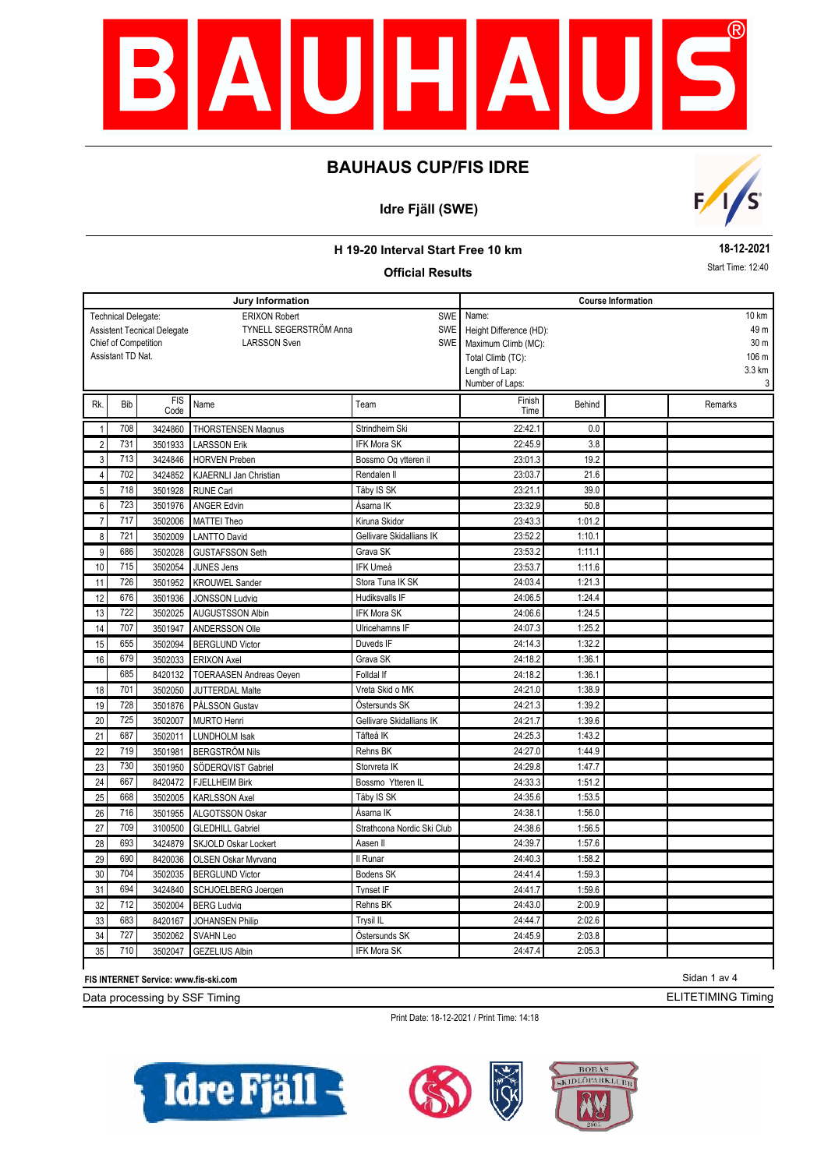

## **Idre Fjäll (SWE)**



### **H 19-20 Interval Start Free 10 km**

### **Official Results**

**18-12-2021** Start Time: 12:40

|                |                            |                                    | Jury Information               |                            | <b>Course Information</b> |        |  |                 |  |  |
|----------------|----------------------------|------------------------------------|--------------------------------|----------------------------|---------------------------|--------|--|-----------------|--|--|
|                | <b>Technical Delegate:</b> |                                    | <b>ERIXON Robert</b>           | <b>SWE</b>                 | Name:                     |        |  | 10 km           |  |  |
|                |                            | <b>Assistent Tecnical Delegate</b> | <b>TYNELL SEGERSTRÖM Anna</b>  | <b>SWE</b>                 | Height Difference (HD):   |        |  | 49 m            |  |  |
|                | Chief of Competition       |                                    | <b>LARSSON Sven</b>            | SWE                        | Maximum Climb (MC):       |        |  | 30 <sub>m</sub> |  |  |
|                | Assistant TD Nat.          |                                    |                                |                            | Total Climb (TC):         |        |  | 106 m           |  |  |
|                |                            |                                    |                                |                            | Length of Lap:            |        |  | 3.3 km          |  |  |
|                |                            |                                    |                                |                            | Number of Laps:           |        |  | 3               |  |  |
| Rk.            | <b>Bib</b>                 | <b>FIS</b><br>Code                 | Name                           | Team                       | Finish<br>Time            | Behind |  | Remarks         |  |  |
| $\mathbf{1}$   | 708                        | 3424860                            | <b>THORSTENSEN Magnus</b>      | Strindheim Ski             | 22:42.1                   | 0.0    |  |                 |  |  |
| $\overline{c}$ | 731                        | 3501933                            | <b>LARSSON Erik</b>            | <b>IFK Mora SK</b>         | 22:45.9                   | 3.8    |  |                 |  |  |
| 3              | 713                        | 3424846                            | <b>HORVEN Preben</b>           | Bossmo Og ytteren il       | 23:01.3                   | 19.2   |  |                 |  |  |
| 4              | 702                        | 3424852                            | <b>KJAERNLI Jan Christian</b>  | Rendalen II                | 23:03.7                   | 21.6   |  |                 |  |  |
| $\overline{5}$ | 718                        | 3501928                            | <b>RUNE Carl</b>               | Täby IS SK                 | 23:21.1                   | 39.0   |  |                 |  |  |
| 6              | 723                        | 3501976                            | <b>ANGER Edvin</b>             | Åsarna IK                  | 23:32.9                   | 50.8   |  |                 |  |  |
| $\overline{7}$ | 717                        | 3502006                            | <b>MATTEI Theo</b>             | Kiruna Skidor              | 23:43.3                   | 1:01.2 |  |                 |  |  |
| 8              | 721                        | 3502009                            | <b>LANTTO David</b>            | Gellivare Skidallians IK   | 23:52.2                   | 1:10.1 |  |                 |  |  |
| 9              | 686                        | 3502028                            | <b>GUSTAFSSON Seth</b>         | Grava SK                   | 23:53.2                   | 1:11.1 |  |                 |  |  |
| 10             | 715                        | 3502054                            | <b>JUNES Jens</b>              | IFK Umeå                   | 23:53.7                   | 1:11.6 |  |                 |  |  |
| 11             | 726                        | 3501952                            | <b>KROUWEL Sander</b>          | Stora Tuna IK SK           | 24:03.4                   | 1:21.3 |  |                 |  |  |
| 12             | 676                        | 3501936                            | <b>JONSSON Ludvia</b>          | Hudiksvalls IF             | 24:06.5                   | 1:24.4 |  |                 |  |  |
| 13             | 722                        | 3502025                            | AUGUSTSSON Albin               | <b>IFK Mora SK</b>         | 24:06.6                   | 1:24.5 |  |                 |  |  |
| 14             | 707                        | 3501947                            | ANDERSSON Olle                 | Ulricehamns IF             | 24:07.3                   | 1:25.2 |  |                 |  |  |
| 15             | 655                        | 3502094                            | <b>BERGLUND Victor</b>         | Duveds IF                  | 24:14.3                   | 1:32.2 |  |                 |  |  |
| 16             | 679                        | 3502033                            | <b>ERIXON Axel</b>             | Grava SK                   | 24:18.2                   | 1:36.1 |  |                 |  |  |
|                | 685                        | 8420132                            | <b>TOERAASEN Andreas Oeven</b> | Folldal If                 | 24:18.2                   | 1:36.1 |  |                 |  |  |
| 18             | 701                        | 3502050                            | <b>JUTTERDAL Malte</b>         | Vreta Skid o MK            | 24:21.0                   | 1:38.9 |  |                 |  |  |
| 19             | 728                        | 3501876                            | PÅLSSON Gustav                 | Östersunds SK              | 24:21.3                   | 1:39.2 |  |                 |  |  |
| 20             | 725                        | 3502007                            | <b>MURTO Henri</b>             | Gellivare Skidallians IK   | 24:21.7                   | 1:39.6 |  |                 |  |  |
| 21             | 687                        | 3502011                            | <b>LUNDHOLM Isak</b>           | Täfteå IK                  | 24:25.3                   | 1:43.2 |  |                 |  |  |
| 22             | 719                        | 3501981                            | <b>BERGSTRÖM Nils</b>          | Rehns BK                   | 24:27.0                   | 1:44.9 |  |                 |  |  |
| 23             | 730                        | 3501950                            | SÖDERQVIST Gabriel             | Storvreta IK               | 24:29.8                   | 1:47.7 |  |                 |  |  |
| 24             | 667                        | 8420472                            | <b>FJELLHEIM Birk</b>          | Bossmo Ytteren IL          | 24:33.3                   | 1:51.2 |  |                 |  |  |
| 25             | 668                        | 3502005                            | <b>KARLSSON Axel</b>           | Täby IS SK                 | 24:35.6                   | 1:53.5 |  |                 |  |  |
| 26             | 716                        | 3501955                            | ALGOTSSON Oskar                | Åsarna IK                  | 24:38.1                   | 1:56.0 |  |                 |  |  |
| 27             | 709                        | 3100500                            | <b>GLEDHILL Gabriel</b>        | Strathcona Nordic Ski Club | 24:38.6                   | 1:56.5 |  |                 |  |  |
| 28             | 693                        | 3424879                            | SKJOLD Oskar Lockert           | Aasen II                   | 24:39.7                   | 1:57.6 |  |                 |  |  |
| 29             | 690                        | 8420036                            | OLSEN Oskar Mvrvang            | Il Runar                   | 24:40.3                   | 1:58.2 |  |                 |  |  |
| 30             | 704                        | 3502035                            | <b>BERGLUND Victor</b>         | Bodens SK                  | 24:41.4                   | 1:59.3 |  |                 |  |  |
| 31             | 694                        | 3424840                            | SCHJOELBERG Joeraen            | Tynset IF                  | 24:41.7                   | 1:59.6 |  |                 |  |  |
| 32             | 712                        | 3502004                            | <b>BERG Ludvig</b>             | Rehns BK                   | 24:43.0                   | 2:00.9 |  |                 |  |  |
| 33             | 683                        | 8420167                            | <b>JOHANSEN Philip</b>         | Trysil IL                  | 24:44.7                   | 2:02.6 |  |                 |  |  |
| 34             | 727                        | 3502062                            | SVAHN Leo                      | Östersunds SK              | 24:45.9                   | 2:03.8 |  |                 |  |  |
| 35             | 710                        | 3502047                            | <b>GEZELIUS Albin</b>          | <b>IFK Mora SK</b>         | 24:47.4                   | 2:05.3 |  |                 |  |  |

#### **FIS INTERNET Service: www.fis-ski.com**

ľ

Data processing by SSF Timing

Print Date: 18-12-2021 / Print Time: 14:18







Sidan 1 av 4 ELITETIMING Timing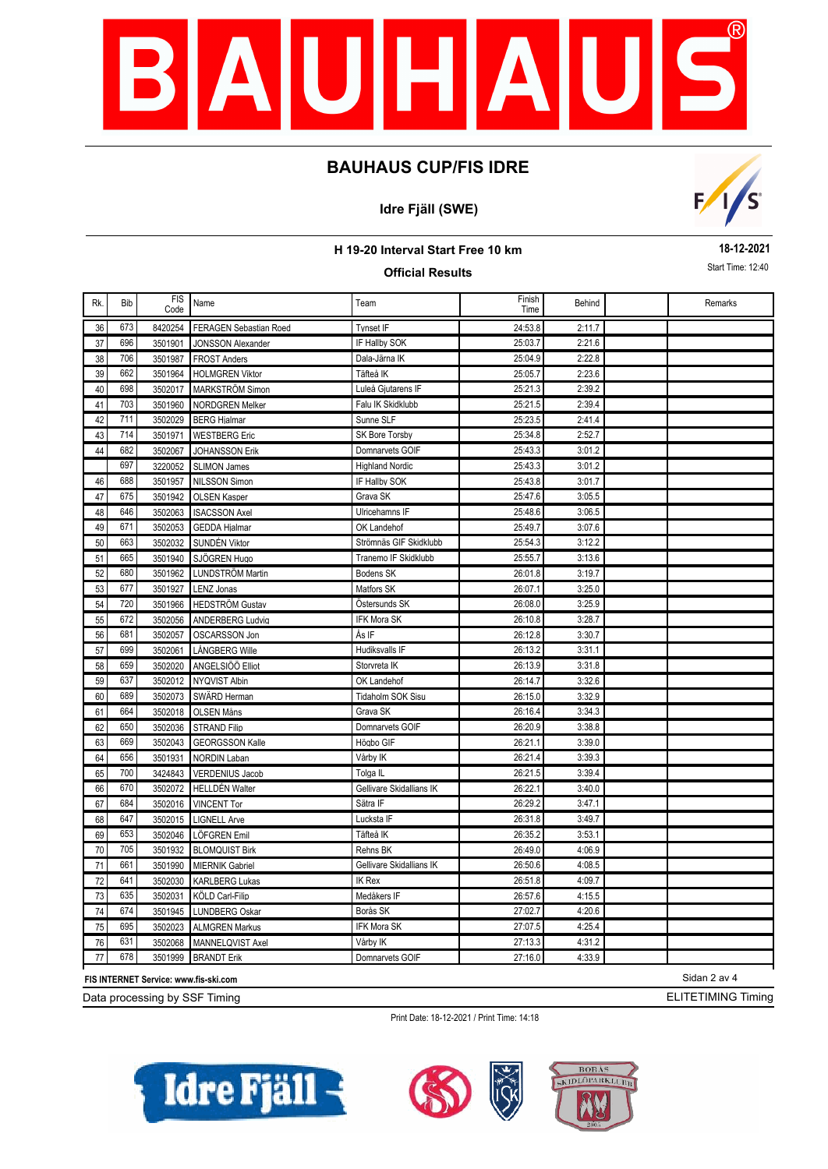

## **Idre Fjäll (SWE)**



#### **H 19-20 Interval Start Free 10 km**

### **Official Results**

**18-12-2021** Start Time: 12:40

| Rk. | <b>Bib</b> | <b>FIS</b><br>Code | Name                          | Team                     | Finish<br>Time | Behind | Remarks |
|-----|------------|--------------------|-------------------------------|--------------------------|----------------|--------|---------|
| 36  | 673        | 8420254            | <b>FERAGEN Sebastian Roed</b> | <b>Tynset IF</b>         | 24:53.8        | 2:11.7 |         |
| 37  | 696        | 3501901            | <b>JONSSON Alexander</b>      | IF Hallby SOK            | 25:03.7        | 2:21.6 |         |
| 38  | 706        | 3501987            | <b>FROST Anders</b>           | Dala-Järna IK            | 25:04.9        | 2:22.8 |         |
| 39  | 662        | 3501964            | <b>HOLMGREN Viktor</b>        | Täfteå IK                | 25:05.7        | 2:23.6 |         |
| 40  | 698        | 3502017            | MARKSTRÖM Simon               | Luleå Gjutarens IF       | 25:21.3        | 2:39.2 |         |
| 41  | 703        | 3501960            | <b>NORDGREN Melker</b>        | Falu IK Skidklubb        | 25:21.5        | 2:39.4 |         |
| 42  | 711        | 3502029            | <b>BERG Hjalmar</b>           | Sunne SLF                | 25:23.5        | 2:41.4 |         |
| 43  | 714        | 3501971            | <b>WESTBERG Eric</b>          | SK Bore Torsby           | 25:34.8        | 2:52.7 |         |
| 44  | 682        | 3502067            | JOHANSSON Erik                | Domnarvets GOIF          | 25:43.3        | 3:01.2 |         |
|     | 697        | 3220052            | <b>SLIMON James</b>           | <b>Highland Nordic</b>   | 25:43.3        | 3:01.2 |         |
| 46  | 688        | 3501957            | <b>NILSSON Simon</b>          | IF Hallby SOK            | 25:43.8        | 3:01.7 |         |
| 47  | 675        | 3501942            | <b>OLSEN Kasper</b>           | Grava SK                 | 25:47.6        | 3:05.5 |         |
| 48  | 646        | 3502063            | <b>ISACSSON Axel</b>          | Ulricehamns IF           | 25:48.6        | 3:06.5 |         |
| 49  | 671        | 3502053            | <b>GEDDA Hialmar</b>          | OK Landehof              | 25:49.7        | 3:07.6 |         |
| 50  | 663        | 3502032            | SUNDÉN Viktor                 | Strömnäs GIF Skidklubb   | 25:54.3        | 3:12.2 |         |
| 51  | 665        | 3501940            | SJÖGREN Hugo                  | Tranemo IF Skidklubb     | 25:55.7        | 3:13.6 |         |
| 52  | 680        | 3501962            | <b>LUNDSTRÖM Martin</b>       | Bodens SK                | 26:01.8        | 3:19.7 |         |
| 53  | 677        | 3501927            | <b>LENZ Jonas</b>             | Matfors SK               | 26:07.1        | 3:25.0 |         |
| 54  | 720        | 3501966            | <b>HEDSTRÖM Gustav</b>        | Östersunds SK            | 26:08.0        | 3:25.9 |         |
| 55  | 672        | 3502056            | <b>ANDERBERG Ludvig</b>       | IFK Mora SK              | 26:10.8        | 3:28.7 |         |
| 56  | 681        | 3502057            | OSCARSSON Jon                 | Ås IF                    | 26:12.8        | 3:30.7 |         |
| 57  | 699        | 3502061            | LÅNGBERG Wille                | Hudiksvalls IF           | 26:13.2        | 3:31.1 |         |
| 58  | 659        | 3502020            | ANGELSIÖÖ Elliot              | Storvreta IK             | 26:13.9        | 3:31.8 |         |
| 59  | 637        | 3502012            | NYQVIST Albin                 | OK Landehof              | 26:14.7        | 3:32.6 |         |
| 60  | 689        | 3502073            | SWÄRD Herman                  | Tidaholm SOK Sisu        | 26:15.0        | 3:32.9 |         |
| 61  | 664        | 3502018            | <b>OLSEN Måns</b>             | Grava SK                 | 26:16.4        | 3:34.3 |         |
| 62  | 650        | 3502036            | <b>STRAND Filip</b>           | Domnarvets GOIF          | 26:20.9        | 3:38.8 |         |
| 63  | 669        | 3502043            | <b>GEORGSSON Kalle</b>        | Högbo GIF                | 26:21.1        | 3:39.0 |         |
| 64  | 656        | 3501931            | <b>NORDIN Laban</b>           | Vårby IK                 | 26:21.4        | 3:39.3 |         |
| 65  | 700        | 3424843            | <b>VERDENIUS Jacob</b>        | Tolga IL                 | 26:21.5        | 3:39.4 |         |
| 66  | 670        | 3502072            | <b>HELLDÉN Walter</b>         | Gellivare Skidallians IK | 26:22.1        | 3:40.0 |         |
| 67  | 684        | 3502016            | <b>VINCENT Tor</b>            | Sätra IF                 | 26:29.2        | 3:47.1 |         |
| 68  | 647        | 3502015            | <b>LIGNELL Arve</b>           | Lucksta IF               | 26:31.8        | 3:49.7 |         |
| 69  | 653        | 3502046            | LÖFGREN Emil                  | Täfteå IK                | 26:35.2        | 3:53.1 |         |
| 70  | 705        | 3501932            | <b>BLOMQUIST Birk</b>         | Rehns BK                 | 26:49.0        | 4:06.9 |         |
| 71  | 661        | 3501990            | <b>MIERNIK Gabriel</b>        | Gellivare Skidallians IK | 26:50.6        | 4:08.5 |         |
| 72  | 641        | 3502030            | <b>KARLBERG Lukas</b>         | <b>IK Rex</b>            | 26:51.8        | 4:09.7 |         |
| 73  | 635        | 3502031            | KÖLD Carl-Filip               | Medåkers IF              | 26:57.6        | 4:15.5 |         |
| 74  | 674        | 3501945            | <b>LUNDBERG Oskar</b>         | Borås SK                 | 27:02.7        | 4:20.6 |         |
| 75  | 695        | 3502023            | <b>ALMGREN Markus</b>         | <b>IFK Mora SK</b>       | 27:07.5        | 4:25.4 |         |
| 76  | 631        | 3502068            | MANNELQVIST Axel              | Vårby IK                 | 27:13.3        | 4:31.2 |         |
| 77  | 678        | 3501999            | <b>BRANDT Erik</b>            | Domnarvets GOIF          | 27:16.0        | 4:33.9 |         |

**FIS INTERNET Service: www.fis-ski.com**

Data processing by SSF Timing

Print Date: 18-12-2021 / Print Time: 14:18







ELITETIMING Timing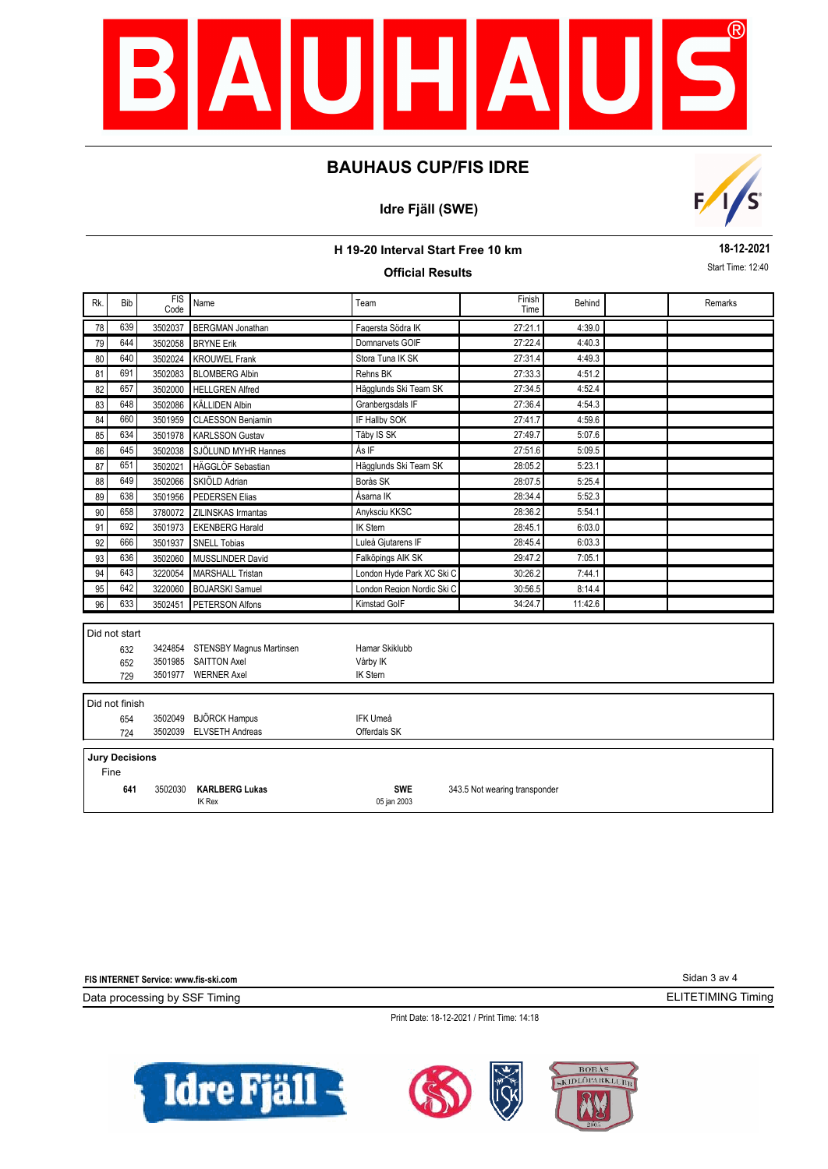

## **Idre Fjäll (SWE)**



### **H 19-20 Interval Start Free 10 km**

## **Official Results**

**18-12-2021** Start Time: 12:40

| Rk. | Bib                   | <b>FIS</b><br>Code | Name                                   | Team                       | Finish<br>Time                | Behind  |  | Remarks |  |  |  |
|-----|-----------------------|--------------------|----------------------------------------|----------------------------|-------------------------------|---------|--|---------|--|--|--|
| 78  | 639                   | 3502037            | <b>BERGMAN Jonathan</b>                | Fagersta Södra IK          | 27:21.1                       | 4:39.0  |  |         |  |  |  |
| 79  | 644                   | 3502058            | <b>BRYNE Erik</b>                      | Domnarvets GOIF            | 27:22.4                       | 4:40.3  |  |         |  |  |  |
| 80  | 640                   | 3502024            | <b>KROUWEL Frank</b>                   | Stora Tuna IK SK           | 27:31.4                       | 4:49.3  |  |         |  |  |  |
| 81  | 691                   | 3502083            | <b>BLOMBERG Albin</b>                  | Rehns BK                   | 27:33.3                       | 4:51.2  |  |         |  |  |  |
| 82  | 657                   | 3502000            | <b>HELLGREN Alfred</b>                 | Hägglunds Ski Team SK      | 27:34.5                       | 4:52.4  |  |         |  |  |  |
| 83  | 648                   | 3502086            | <b>KÄLLIDEN Albin</b>                  | Granbergsdals IF           | 27:36.4                       | 4:54.3  |  |         |  |  |  |
| 84  | 660                   | 3501959            | <b>CLAESSON Benjamin</b>               | IF Hallby SOK              | 27:41.7                       | 4:59.6  |  |         |  |  |  |
| 85  | 634                   | 3501978            | <b>KARLSSON Gustav</b>                 | Täby IS SK                 | 27:49.7                       | 5:07.6  |  |         |  |  |  |
| 86  | 645                   | 3502038            | SJÖLUND MYHR Hannes                    | Ås IF                      | 27:51.6                       | 5:09.5  |  |         |  |  |  |
| 87  | 651                   | 3502021            | HÄGGLÖF Sebastian                      | Hägglunds Ski Team SK      | 28:05.2                       | 5:23.1  |  |         |  |  |  |
| 88  | 649                   | 3502066            | SKIÖLD Adrian                          | Borås SK                   | 28:07.5                       | 5:25.4  |  |         |  |  |  |
| 89  | 638                   | 3501956            | <b>PEDERSEN Elias</b>                  | Åsarna IK                  | 28:34.4                       | 5:52.3  |  |         |  |  |  |
| 90  | 658                   | 3780072            | ZILINSKAS Irmantas                     | Anyksciu KKSC              | 28:36.2                       | 5:54.1  |  |         |  |  |  |
| 91  | 692                   | 3501973            | <b>EKENBERG Harald</b>                 | <b>IK Stern</b>            | 28:45.1                       | 6:03.0  |  |         |  |  |  |
| 92  | 666                   | 3501937            | <b>SNELL Tobias</b>                    | Luleå Giutarens IF         | 28:45.4                       | 6:03.3  |  |         |  |  |  |
| 93  | 636                   | 3502060            | <b>MUSSLINDER David</b>                | Falköpings AIK SK          | 29:47.2                       | 7:05.1  |  |         |  |  |  |
| 94  | 643                   | 3220054            | <b>MARSHALL Tristan</b>                | London Hyde Park XC Ski C  | 30:26.2                       | 7:44.1  |  |         |  |  |  |
| 95  | 642                   | 3220060            | <b>BOJARSKI</b> Samuel                 | London Region Nordic Ski C | 30:56.5                       | 8:14.4  |  |         |  |  |  |
| 96  | 633                   | 3502451            | PETERSON Alfons                        | <b>Kimstad GolF</b>        | 34:24.7                       | 11:42.6 |  |         |  |  |  |
|     |                       |                    |                                        |                            |                               |         |  |         |  |  |  |
|     | Did not start         |                    |                                        |                            |                               |         |  |         |  |  |  |
|     | 632                   |                    | 3424854 STENSBY Magnus Martinsen       | Hamar Skiklubb             |                               |         |  |         |  |  |  |
|     | 652                   |                    | 3501985 SAITTON Axel                   | Vårby IK                   |                               |         |  |         |  |  |  |
|     | 729                   |                    | 3501977 WERNER Axel                    | <b>IK Stern</b>            |                               |         |  |         |  |  |  |
|     | Did not finish        |                    |                                        |                            |                               |         |  |         |  |  |  |
|     | 654                   | 3502049            | <b>BJÖRCK Hampus</b>                   | <b>IFK Umeå</b>            |                               |         |  |         |  |  |  |
|     | 724                   | 3502039            | <b>ELVSETH Andreas</b>                 | Offerdals SK               |                               |         |  |         |  |  |  |
|     |                       |                    |                                        |                            |                               |         |  |         |  |  |  |
|     | <b>Jury Decisions</b> |                    |                                        |                            |                               |         |  |         |  |  |  |
|     | Fine                  |                    |                                        |                            |                               |         |  |         |  |  |  |
|     | 641                   | 3502030            | <b>KARLBERG Lukas</b><br><b>IK Rex</b> | <b>SWE</b><br>05 jan 2003  | 343.5 Not wearing transponder |         |  |         |  |  |  |

| FIS INTERNET Service: www.fis-ski.com      | Sidan 3 av 4              |
|--------------------------------------------|---------------------------|
| Data processing by SSF Timing              | <b>ELITETIMING Timing</b> |
| Print Date: 18-12-2021 / Print Time: 14:18 |                           |